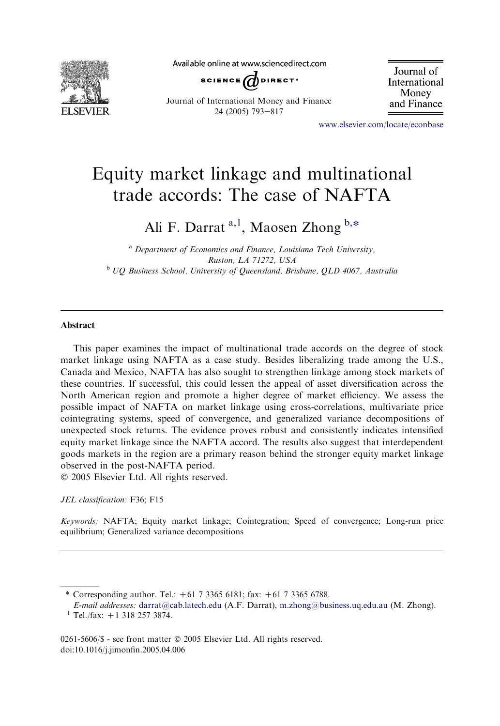

Available online at www.sciencedirect.com



Journal of International Money and Finance

Journal of International Money and Finance 24 (2005) 793-817

[www.elsevier.com/locate/econbase](http://www.elsevier.com/locate/econbase)

## Equity market linkage and multinational trade accords: The case of NAFTA

Ali F. Darrat<sup>a,1</sup>, Maosen Zhong b,\*

 $a<sup>a</sup>$  Department of Economics and Finance, Louisiana Tech University, Ruston, LA 71272, USA <sup>b</sup> UQ Business School, University of Queensland, Brisbane, QLD 4067, Australia

## Abstract

This paper examines the impact of multinational trade accords on the degree of stock market linkage using NAFTA as a case study. Besides liberalizing trade among the U.S., Canada and Mexico, NAFTA has also sought to strengthen linkage among stock markets of these countries. If successful, this could lessen the appeal of asset diversification across the North American region and promote a higher degree of market efficiency. We assess the possible impact of NAFTA on market linkage using cross-correlations, multivariate price cointegrating systems, speed of convergence, and generalized variance decompositions of unexpected stock returns. The evidence proves robust and consistently indicates intensified equity market linkage since the NAFTA accord. The results also suggest that interdependent goods markets in the region are a primary reason behind the stronger equity market linkage observed in the post-NAFTA period.

2005 Elsevier Ltd. All rights reserved.

JEL classification: F36; F15

Keywords: NAFTA; Equity market linkage; Cointegration; Speed of convergence; Long-run price equilibrium; Generalized variance decompositions

0261-5606/\$ - see front matter © 2005 Elsevier Ltd. All rights reserved. doi:10.1016/j.jimonfin.2005.04.006

<sup>\*</sup> Corresponding author. Tel.:  $+61$  7 3365 6181; fax:  $+61$  7 3365 6788.

E-mail addresses: [darrat@cab.latech.edu](mailto:darrat@cab.latech.edu) (A.F. Darrat), [m.zhong@business.uq.edu.au](mailto:m.zhong@business.uq.edu.au) (M. Zhong). <sup>1</sup> Tel./fax: +1 318 257 3874.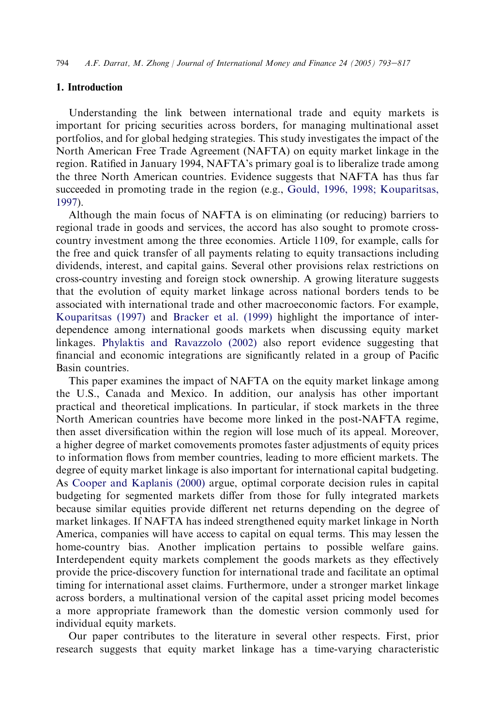## 1. Introduction

Understanding the link between international trade and equity markets is important for pricing securities across borders, for managing multinational asset portfolios, and for global hedging strategies. This study investigates the impact of the North American Free Trade Agreement (NAFTA) on equity market linkage in the region. Ratified in January 1994, NAFTA's primary goal is to liberalize trade among the three North American countries. Evidence suggests that NAFTA has thus far succeeded in promoting trade in the region (e.g., [Gould, 1996, 1998; Kouparitsas,](#page--1-0) [1997](#page--1-0)).

Although the main focus of NAFTA is on eliminating (or reducing) barriers to regional trade in goods and services, the accord has also sought to promote crosscountry investment among the three economies. Article 1109, for example, calls for the free and quick transfer of all payments relating to equity transactions including dividends, interest, and capital gains. Several other provisions relax restrictions on cross-country investing and foreign stock ownership. A growing literature suggests that the evolution of equity market linkage across national borders tends to be associated with international trade and other macroeconomic factors. For example, [Kouparitsas \(1997\)](#page--1-0) and [Bracker et al. \(1999\)](#page--1-0) highlight the importance of interdependence among international goods markets when discussing equity market linkages. [Phylaktis and Ravazzolo \(2002\)](#page--1-0) also report evidence suggesting that financial and economic integrations are significantly related in a group of Pacific Basin countries.

This paper examines the impact of NAFTA on the equity market linkage among the U.S., Canada and Mexico. In addition, our analysis has other important practical and theoretical implications. In particular, if stock markets in the three North American countries have become more linked in the post-NAFTA regime, then asset diversification within the region will lose much of its appeal. Moreover, a higher degree of market comovements promotes faster adjustments of equity prices to information flows from member countries, leading to more efficient markets. The degree of equity market linkage is also important for international capital budgeting. As [Cooper and Kaplanis \(2000\)](#page--1-0) argue, optimal corporate decision rules in capital budgeting for segmented markets differ from those for fully integrated markets because similar equities provide different net returns depending on the degree of market linkages. If NAFTA has indeed strengthened equity market linkage in North America, companies will have access to capital on equal terms. This may lessen the home-country bias. Another implication pertains to possible welfare gains. Interdependent equity markets complement the goods markets as they effectively provide the price-discovery function for international trade and facilitate an optimal timing for international asset claims. Furthermore, under a stronger market linkage across borders, a multinational version of the capital asset pricing model becomes a more appropriate framework than the domestic version commonly used for individual equity markets.

Our paper contributes to the literature in several other respects. First, prior research suggests that equity market linkage has a time-varying characteristic